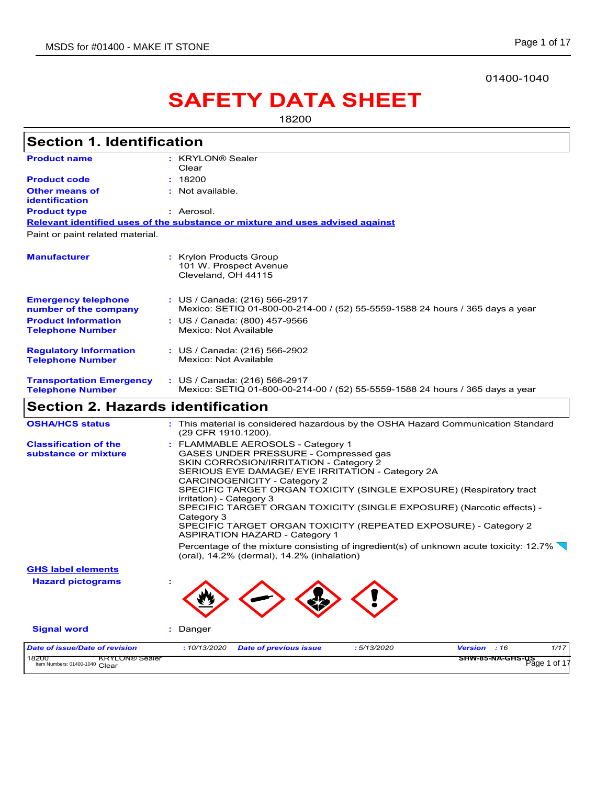#### 01400-1040

# **SAFETY DATA SHEET**

18200

|                                                            | <b>Section 1. Identification</b>                                                                                                                                                                                                                                                                                                                                                                                                                                                                                                                                                                                                                              |
|------------------------------------------------------------|---------------------------------------------------------------------------------------------------------------------------------------------------------------------------------------------------------------------------------------------------------------------------------------------------------------------------------------------------------------------------------------------------------------------------------------------------------------------------------------------------------------------------------------------------------------------------------------------------------------------------------------------------------------|
| <b>Product name</b>                                        | : KRYLON® Sealer                                                                                                                                                                                                                                                                                                                                                                                                                                                                                                                                                                                                                                              |
| <b>Product code</b>                                        | Clear<br>: 18200                                                                                                                                                                                                                                                                                                                                                                                                                                                                                                                                                                                                                                              |
| <b>Other means of</b>                                      | : Not available.                                                                                                                                                                                                                                                                                                                                                                                                                                                                                                                                                                                                                                              |
| <b>identification</b>                                      |                                                                                                                                                                                                                                                                                                                                                                                                                                                                                                                                                                                                                                                               |
| <b>Product type</b>                                        | : Aerosol.                                                                                                                                                                                                                                                                                                                                                                                                                                                                                                                                                                                                                                                    |
|                                                            | Relevant identified uses of the substance or mixture and uses advised against                                                                                                                                                                                                                                                                                                                                                                                                                                                                                                                                                                                 |
| Paint or paint related material.                           |                                                                                                                                                                                                                                                                                                                                                                                                                                                                                                                                                                                                                                                               |
| <b>Manufacturer</b>                                        | : Krylon Products Group<br>101 W. Prospect Avenue<br>Cleveland, OH 44115                                                                                                                                                                                                                                                                                                                                                                                                                                                                                                                                                                                      |
| <b>Emergency telephone</b><br>number of the company        | : US / Canada: (216) 566-2917<br>Mexico: SETIQ 01-800-00-214-00 / (52) 55-5559-1588 24 hours / 365 days a year                                                                                                                                                                                                                                                                                                                                                                                                                                                                                                                                                |
| <b>Product Information</b><br><b>Telephone Number</b>      | : US / Canada: (800) 457-9566<br>Mexico: Not Available                                                                                                                                                                                                                                                                                                                                                                                                                                                                                                                                                                                                        |
| <b>Regulatory Information</b><br><b>Telephone Number</b>   | : US / Canada: (216) 566-2902<br>Mexico: Not Available                                                                                                                                                                                                                                                                                                                                                                                                                                                                                                                                                                                                        |
| <b>Transportation Emergency</b><br><b>Telephone Number</b> | : US / Canada: (216) 566-2917<br>Mexico: SETIQ 01-800-00-214-00 / (52) 55-5559-1588 24 hours / 365 days a year                                                                                                                                                                                                                                                                                                                                                                                                                                                                                                                                                |
|                                                            |                                                                                                                                                                                                                                                                                                                                                                                                                                                                                                                                                                                                                                                               |
| <b>Section 2. Hazards identification</b>                   |                                                                                                                                                                                                                                                                                                                                                                                                                                                                                                                                                                                                                                                               |
| <b>OSHA/HCS status</b>                                     | : This material is considered hazardous by the OSHA Hazard Communication Standard<br>(29 CFR 1910.1200).                                                                                                                                                                                                                                                                                                                                                                                                                                                                                                                                                      |
| <b>Classification of the</b><br>substance or mixture       | : FLAMMABLE AEROSOLS - Category 1<br>GASES UNDER PRESSURE - Compressed gas<br>SKIN CORROSION/IRRITATION - Category 2<br>SERIOUS EYE DAMAGE/ EYE IRRITATION - Category 2A<br><b>CARCINOGENICITY - Category 2</b><br>SPECIFIC TARGET ORGAN TOXICITY (SINGLE EXPOSURE) (Respiratory tract<br>irritation) - Category 3<br>SPECIFIC TARGET ORGAN TOXICITY (SINGLE EXPOSURE) (Narcotic effects) -<br>Category 3<br>SPECIFIC TARGET ORGAN TOXICITY (REPEATED EXPOSURE) - Category 2<br><b>ASPIRATION HAZARD - Category 1</b><br>Percentage of the mixture consisting of ingredient(s) of unknown acute toxicity: 12.7%<br>(oral), 14.2% (dermal), 14.2% (inhalation) |
| <b>GHS label elements</b>                                  |                                                                                                                                                                                                                                                                                                                                                                                                                                                                                                                                                                                                                                                               |
| <b>Hazard pictograms</b>                                   |                                                                                                                                                                                                                                                                                                                                                                                                                                                                                                                                                                                                                                                               |
| <b>Signal word</b>                                         | : Danger                                                                                                                                                                                                                                                                                                                                                                                                                                                                                                                                                                                                                                                      |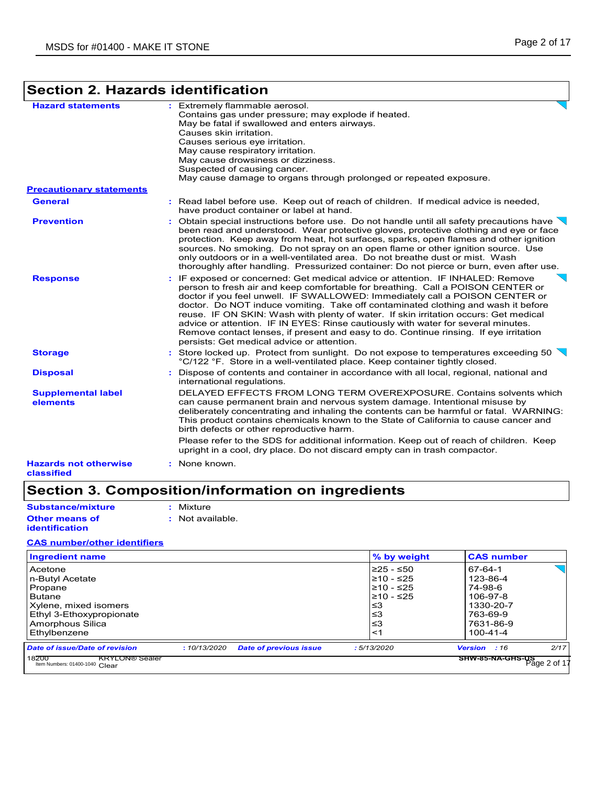## **Section 2. Hazards identification**

| <b>Hazard statements</b>                   | : Extremely flammable aerosol.<br>Contains gas under pressure; may explode if heated.<br>May be fatal if swallowed and enters airways.<br>Causes skin irritation.<br>Causes serious eye irritation.<br>May cause respiratory irritation.<br>May cause drowsiness or dizziness.<br>Suspected of causing cancer.<br>May cause damage to organs through prolonged or repeated exposure.                                                                                                                                                                                                                                                                       |
|--------------------------------------------|------------------------------------------------------------------------------------------------------------------------------------------------------------------------------------------------------------------------------------------------------------------------------------------------------------------------------------------------------------------------------------------------------------------------------------------------------------------------------------------------------------------------------------------------------------------------------------------------------------------------------------------------------------|
| <b>Precautionary statements</b>            |                                                                                                                                                                                                                                                                                                                                                                                                                                                                                                                                                                                                                                                            |
| <b>General</b>                             | : Read label before use. Keep out of reach of children. If medical advice is needed,<br>have product container or label at hand.                                                                                                                                                                                                                                                                                                                                                                                                                                                                                                                           |
| <b>Prevention</b>                          | : Obtain special instructions before use. Do not handle until all safety precautions have $\setminus$<br>been read and understood. Wear protective gloves, protective clothing and eye or face<br>protection. Keep away from heat, hot surfaces, sparks, open flames and other ignition<br>sources. No smoking. Do not spray on an open flame or other ignition source. Use<br>only outdoors or in a well-ventilated area. Do not breathe dust or mist. Wash<br>thoroughly after handling. Pressurized container: Do not pierce or burn, even after use.                                                                                                   |
| <b>Response</b>                            | : IF exposed or concerned: Get medical advice or attention. IF INHALED: Remove<br>person to fresh air and keep comfortable for breathing. Call a POISON CENTER or<br>doctor if you feel unwell. IF SWALLOWED: Immediately call a POISON CENTER or<br>doctor. Do NOT induce vomiting. Take off contaminated clothing and wash it before<br>reuse. IF ON SKIN: Wash with plenty of water. If skin irritation occurs: Get medical<br>advice or attention. IF IN EYES: Rinse cautiously with water for several minutes.<br>Remove contact lenses, if present and easy to do. Continue rinsing. If eye irritation<br>persists: Get medical advice or attention. |
| <b>Storage</b>                             | : Store locked up. Protect from sunlight. Do not expose to temperatures exceeding 50<br>°C/122 °F. Store in a well-ventilated place. Keep container tightly closed.                                                                                                                                                                                                                                                                                                                                                                                                                                                                                        |
| <b>Disposal</b>                            | Dispose of contents and container in accordance with all local, regional, national and<br>international regulations.                                                                                                                                                                                                                                                                                                                                                                                                                                                                                                                                       |
| <b>Supplemental label</b><br>elements      | DELAYED EFFECTS FROM LONG TERM OVEREXPOSURE, Contains solvents which<br>can cause permanent brain and nervous system damage. Intentional misuse by<br>deliberately concentrating and inhaling the contents can be harmful or fatal. WARNING:<br>This product contains chemicals known to the State of California to cause cancer and<br>birth defects or other reproductive harm.                                                                                                                                                                                                                                                                          |
|                                            | Please refer to the SDS for additional information. Keep out of reach of children. Keep<br>upright in a cool, dry place. Do not discard empty can in trash compactor.                                                                                                                                                                                                                                                                                                                                                                                                                                                                                      |
| <b>Hazards not otherwise</b><br>classified | : None known.                                                                                                                                                                                                                                                                                                                                                                                                                                                                                                                                                                                                                                              |

### **Section 3. Composition/information on ingredients**

**Other means of Substance/mixture :** Mixture

**:** Not available.

#### **CAS number/other identifiers**

**identification**

| Ingredient name                                                                                                                                 |              |                               | % by weight                                                                   | <b>CAS number</b>                                                                                  |  |
|-------------------------------------------------------------------------------------------------------------------------------------------------|--------------|-------------------------------|-------------------------------------------------------------------------------|----------------------------------------------------------------------------------------------------|--|
| Acetone<br>n-Butyl Acetate<br>Propane<br><b>Butane</b><br>Xylene, mixed isomers<br>Ethyl 3-Ethoxypropionate<br>Amorphous Silica<br>Ethylbenzene |              |                               | l≥25 - ≤50∶<br>l≥10 - ≤25<br>l≥10 - ≤25<br>l≥10 - ≤25<br>≤3<br>≤3<br>≤3<br><1 | 67-64-1<br>123-86-4<br>74-98-6<br>106-97-8<br>1330-20-7<br>763-69-9<br>7631-86-9<br>$100 - 41 - 4$ |  |
| <b>Date of issue/Date of revision</b><br>18200<br><b>KRYLON®</b> Sealer<br>Item Numbers: 01400-1040 Clear                                       | : 10/13/2020 | <b>Date of previous issue</b> | :5/13/2020                                                                    | 2/17<br>Version : 16<br>SHW-85-NA-GHS-US<br>Page 2 of 17                                           |  |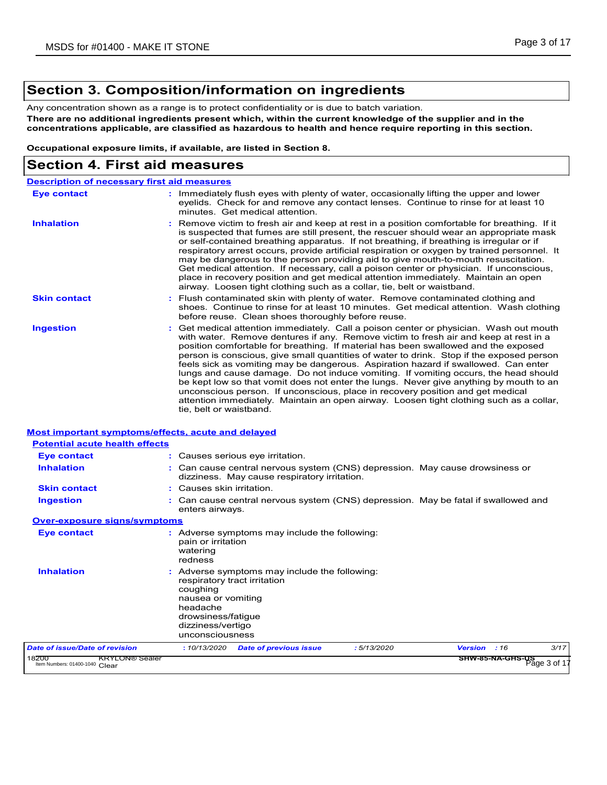### **Section 3. Composition/information on ingredients**

Any concentration shown as a range is to protect confidentiality or is due to batch variation.

**There are no additional ingredients present which, within the current knowledge of the supplier and in the concentrations applicable, are classified as hazardous to health and hence require reporting in this section.**

**Occupational exposure limits, if available, are listed in Section 8.**

### **Section 4. First aid measures**

|                                                                                | <b>Description of necessary first aid measures</b>                                                                                                                                                                                                                                                                                                                                                                                                                                                                                                                                                                                                                                                                                                                                                                                              |
|--------------------------------------------------------------------------------|-------------------------------------------------------------------------------------------------------------------------------------------------------------------------------------------------------------------------------------------------------------------------------------------------------------------------------------------------------------------------------------------------------------------------------------------------------------------------------------------------------------------------------------------------------------------------------------------------------------------------------------------------------------------------------------------------------------------------------------------------------------------------------------------------------------------------------------------------|
| <b>Eye contact</b>                                                             | : Immediately flush eyes with plenty of water, occasionally lifting the upper and lower<br>eyelids. Check for and remove any contact lenses. Continue to rinse for at least 10<br>minutes. Get medical attention.                                                                                                                                                                                                                                                                                                                                                                                                                                                                                                                                                                                                                               |
| <b>Inhalation</b>                                                              | : Remove victim to fresh air and keep at rest in a position comfortable for breathing. If it<br>is suspected that fumes are still present, the rescuer should wear an appropriate mask<br>or self-contained breathing apparatus. If not breathing, if breathing is irregular or if<br>respiratory arrest occurs, provide artificial respiration or oxygen by trained personnel. It<br>may be dangerous to the person providing aid to give mouth-to-mouth resuscitation.<br>Get medical attention. If necessary, call a poison center or physician. If unconscious,<br>place in recovery position and get medical attention immediately. Maintain an open<br>airway. Loosen tight clothing such as a collar, tie, belt or waistband.                                                                                                            |
| <b>Skin contact</b>                                                            | : Flush contaminated skin with plenty of water. Remove contaminated clothing and<br>shoes. Continue to rinse for at least 10 minutes. Get medical attention. Wash clothing<br>before reuse. Clean shoes thoroughly before reuse.                                                                                                                                                                                                                                                                                                                                                                                                                                                                                                                                                                                                                |
| <b>Ingestion</b>                                                               | : Get medical attention immediately. Call a poison center or physician. Wash out mouth<br>with water. Remove dentures if any. Remove victim to fresh air and keep at rest in a<br>position comfortable for breathing. If material has been swallowed and the exposed<br>person is conscious, give small quantities of water to drink. Stop if the exposed person<br>feels sick as vomiting may be dangerous. Aspiration hazard if swallowed. Can enter<br>lungs and cause damage. Do not induce vomiting. If vomiting occurs, the head should<br>be kept low so that vomit does not enter the lungs. Never give anything by mouth to an<br>unconscious person. If unconscious, place in recovery position and get medical<br>attention immediately. Maintain an open airway. Loosen tight clothing such as a collar,<br>tie, belt or waistband. |
|                                                                                |                                                                                                                                                                                                                                                                                                                                                                                                                                                                                                                                                                                                                                                                                                                                                                                                                                                 |
|                                                                                |                                                                                                                                                                                                                                                                                                                                                                                                                                                                                                                                                                                                                                                                                                                                                                                                                                                 |
| <b>Eye contact</b>                                                             | : Causes serious eye irritation.                                                                                                                                                                                                                                                                                                                                                                                                                                                                                                                                                                                                                                                                                                                                                                                                                |
| <b>Inhalation</b>                                                              | : Can cause central nervous system (CNS) depression. May cause drowsiness or<br>dizziness. May cause respiratory irritation.                                                                                                                                                                                                                                                                                                                                                                                                                                                                                                                                                                                                                                                                                                                    |
| <b>Skin contact</b>                                                            | : Causes skin irritation.                                                                                                                                                                                                                                                                                                                                                                                                                                                                                                                                                                                                                                                                                                                                                                                                                       |
| <b>Ingestion</b>                                                               | : Can cause central nervous system (CNS) depression. May be fatal if swallowed and<br>enters airways.                                                                                                                                                                                                                                                                                                                                                                                                                                                                                                                                                                                                                                                                                                                                           |
| <b>Potential acute health effects</b><br><b>Over-exposure signs/symptoms</b>   |                                                                                                                                                                                                                                                                                                                                                                                                                                                                                                                                                                                                                                                                                                                                                                                                                                                 |
| <b>Eye contact</b>                                                             | : Adverse symptoms may include the following:<br>pain or irritation<br>watering<br>redness                                                                                                                                                                                                                                                                                                                                                                                                                                                                                                                                                                                                                                                                                                                                                      |
| <b>Most important symptoms/effects, acute and delayed</b><br><b>Inhalation</b> | : Adverse symptoms may include the following:<br>respiratory tract irritation<br>coughing<br>nausea or vomiting<br>headache<br>drowsiness/fatigue<br>dizziness/vertigo<br>unconsciousness                                                                                                                                                                                                                                                                                                                                                                                                                                                                                                                                                                                                                                                       |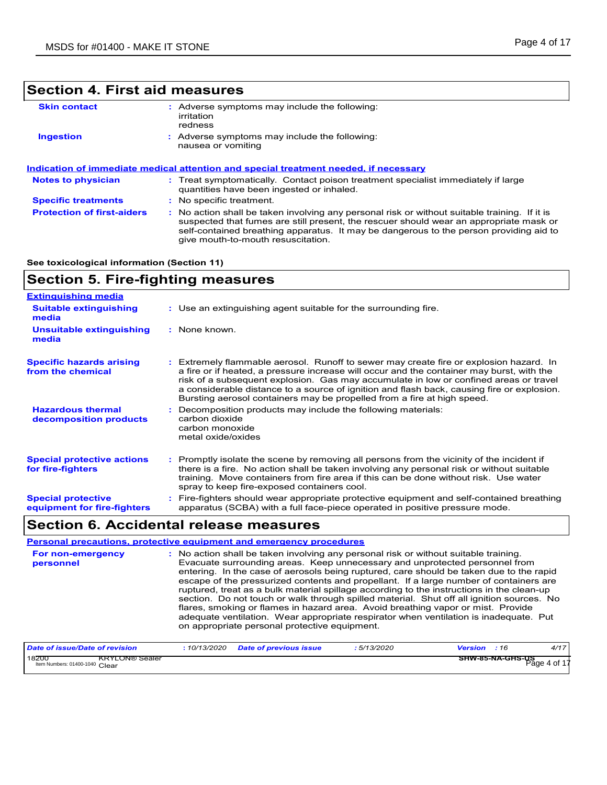### **Section 4. First aid measures**

| <b>Skin contact</b>               | Adverse symptoms may include the following:<br>irritation<br>redness                                                                                                                                                                                                                                                    |  |
|-----------------------------------|-------------------------------------------------------------------------------------------------------------------------------------------------------------------------------------------------------------------------------------------------------------------------------------------------------------------------|--|
| <b>Ingestion</b>                  | : Adverse symptoms may include the following:<br>nausea or vomiting                                                                                                                                                                                                                                                     |  |
|                                   | Indication of immediate medical attention and special treatment needed, if necessary                                                                                                                                                                                                                                    |  |
| <b>Notes to physician</b>         | : Treat symptomatically. Contact poison treatment specialist immediately if large<br>quantities have been ingested or inhaled.                                                                                                                                                                                          |  |
| <b>Specific treatments</b>        | : No specific treatment.                                                                                                                                                                                                                                                                                                |  |
| <b>Protection of first-aiders</b> | : No action shall be taken involving any personal risk or without suitable training. If it is<br>suspected that fumes are still present, the rescuer should wear an appropriate mask or<br>self-contained breathing apparatus. It may be dangerous to the person providing aid to<br>give mouth-to-mouth resuscitation. |  |

### **See toxicological information (Section 11)**

| <b>Section 5. Fire-fighting measures</b>                 |                                                                                                                                                                                                                                                                                                                                                                                                                                                       |  |  |
|----------------------------------------------------------|-------------------------------------------------------------------------------------------------------------------------------------------------------------------------------------------------------------------------------------------------------------------------------------------------------------------------------------------------------------------------------------------------------------------------------------------------------|--|--|
| <b>Extinguishing media</b>                               |                                                                                                                                                                                                                                                                                                                                                                                                                                                       |  |  |
| <b>Suitable extinguishing</b><br>media                   | : Use an extinguishing agent suitable for the surrounding fire.                                                                                                                                                                                                                                                                                                                                                                                       |  |  |
| <b>Unsuitable extinguishing</b><br>media                 | : None known                                                                                                                                                                                                                                                                                                                                                                                                                                          |  |  |
| <b>Specific hazards arising</b><br>from the chemical     | : Extremely flammable aerosol. Runoff to sewer may create fire or explosion hazard. In<br>a fire or if heated, a pressure increase will occur and the container may burst, with the<br>risk of a subsequent explosion. Gas may accumulate in low or confined areas or travel<br>a considerable distance to a source of ignition and flash back, causing fire or explosion.<br>Bursting aerosol containers may be propelled from a fire at high speed. |  |  |
| <b>Hazardous thermal</b><br>decomposition products       | Decomposition products may include the following materials:<br>carbon dioxide<br>carbon monoxide<br>metal oxide/oxides                                                                                                                                                                                                                                                                                                                                |  |  |
| <b>Special protective actions</b><br>for fire-fighters   | : Promptly isolate the scene by removing all persons from the vicinity of the incident if<br>there is a fire. No action shall be taken involving any personal risk or without suitable<br>training. Move containers from fire area if this can be done without risk. Use water<br>spray to keep fire-exposed containers cool.                                                                                                                         |  |  |
| <b>Special protective</b><br>equipment for fire-fighters | : Fire-fighters should wear appropriate protective equipment and self-contained breathing<br>apparatus (SCBA) with a full face-piece operated in positive pressure mode.                                                                                                                                                                                                                                                                              |  |  |

### **Section 6. Accidental release measures**

|                                | Personal precautions, protective equipment and emergency procedures                                                                                                                                                                                                                                                                                                                                                                                                                                                                                                                                                                                                                                                                                                              |
|--------------------------------|----------------------------------------------------------------------------------------------------------------------------------------------------------------------------------------------------------------------------------------------------------------------------------------------------------------------------------------------------------------------------------------------------------------------------------------------------------------------------------------------------------------------------------------------------------------------------------------------------------------------------------------------------------------------------------------------------------------------------------------------------------------------------------|
| For non-emergency<br>personnel | : No action shall be taken involving any personal risk or without suitable training.<br>Evacuate surrounding areas. Keep unnecessary and unprotected personnel from<br>entering. In the case of aerosols being ruptured, care should be taken due to the rapid<br>escape of the pressurized contents and propellant. If a large number of containers are<br>ruptured, treat as a bulk material spillage according to the instructions in the clean-up<br>section. Do not touch or walk through spilled material. Shut off all ignition sources. No<br>flares, smoking or flames in hazard area. Avoid breathing vapor or mist. Provide<br>adequate ventilation. Wear appropriate respirator when ventilation is inadequate. Put<br>on appropriate personal protective equipment. |

| Date of issue/Date of revision                                   | 10/13/2020 | <b>Date of previous issue</b> | 5/13/2020 | Version | :16                     | 4/17         |
|------------------------------------------------------------------|------------|-------------------------------|-----------|---------|-------------------------|--------------|
| 18200<br><b>KRYLON® Sealer</b><br>Item Numbers: 01400-1040 Clear |            |                               |           |         | <b>SHW-85-NA-GHS-US</b> | Page 4 of 17 |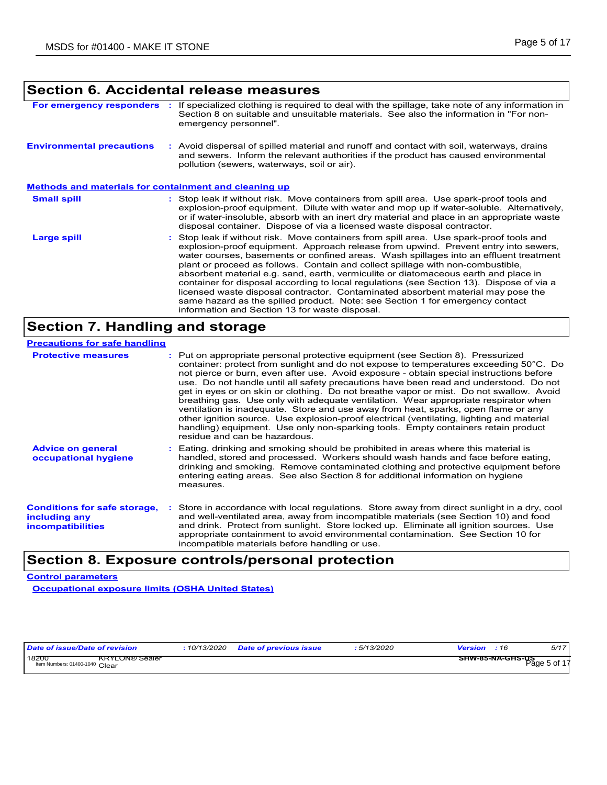### **Section 6. Accidental release measures**

| For emergency responders                                     | If specialized clothing is required to deal with the spillage, take note of any information in<br>Section 8 on suitable and unsuitable materials. See also the information in "For non-<br>emergency personnel".                                                                                                                                                                                                                                                                                                                                                                                                                                                                                                                                                   |
|--------------------------------------------------------------|--------------------------------------------------------------------------------------------------------------------------------------------------------------------------------------------------------------------------------------------------------------------------------------------------------------------------------------------------------------------------------------------------------------------------------------------------------------------------------------------------------------------------------------------------------------------------------------------------------------------------------------------------------------------------------------------------------------------------------------------------------------------|
| <b>Environmental precautions</b>                             | : Avoid dispersal of spilled material and runoff and contact with soil, waterways, drains<br>and sewers. Inform the relevant authorities if the product has caused environmental<br>pollution (sewers, waterways, soil or air).                                                                                                                                                                                                                                                                                                                                                                                                                                                                                                                                    |
| <u>Methods and materials for containment and cleaning up</u> |                                                                                                                                                                                                                                                                                                                                                                                                                                                                                                                                                                                                                                                                                                                                                                    |
| <b>Small spill</b>                                           | : Stop leak if without risk. Move containers from spill area. Use spark-proof tools and<br>explosion-proof equipment. Dilute with water and mop up if water-soluble. Alternatively,<br>or if water-insoluble, absorb with an inert dry material and place in an appropriate waste<br>disposal container. Dispose of via a licensed waste disposal contractor.                                                                                                                                                                                                                                                                                                                                                                                                      |
| Large spill                                                  | Stop leak if without risk. Move containers from spill area. Use spark-proof tools and<br>explosion-proof equipment. Approach release from upwind. Prevent entry into sewers,<br>water courses, basements or confined areas. Wash spillages into an effluent treatment<br>plant or proceed as follows. Contain and collect spillage with non-combustible,<br>absorbent material e.g. sand, earth, vermiculite or diatomaceous earth and place in<br>container for disposal according to local regulations (see Section 13). Dispose of via a<br>licensed waste disposal contractor. Contaminated absorbent material may pose the<br>same hazard as the spilled product. Note: see Section 1 for emergency contact<br>information and Section 13 for waste disposal. |

### **Section 7. Handling and storage**

| <b>Precautions for safe handling</b>                                             |                                                                                                                                                                                                                                                                                                                                                                                                                                                                                                                                                                                                                                                                                                                                                                                                                                                         |
|----------------------------------------------------------------------------------|---------------------------------------------------------------------------------------------------------------------------------------------------------------------------------------------------------------------------------------------------------------------------------------------------------------------------------------------------------------------------------------------------------------------------------------------------------------------------------------------------------------------------------------------------------------------------------------------------------------------------------------------------------------------------------------------------------------------------------------------------------------------------------------------------------------------------------------------------------|
| <b>Protective measures</b>                                                       | : Put on appropriate personal protective equipment (see Section 8). Pressurized<br>container: protect from sunlight and do not expose to temperatures exceeding 50°C. Do<br>not pierce or burn, even after use. Avoid exposure - obtain special instructions before<br>use. Do not handle until all safety precautions have been read and understood. Do not<br>get in eyes or on skin or clothing. Do not breathe vapor or mist. Do not swallow. Avoid<br>breathing gas. Use only with adequate ventilation. Wear appropriate respirator when<br>ventilation is inadequate. Store and use away from heat, sparks, open flame or any<br>other ignition source. Use explosion-proof electrical (ventilating, lighting and material<br>handling) equipment. Use only non-sparking tools. Empty containers retain product<br>residue and can be hazardous. |
| <b>Advice on general</b><br>occupational hygiene                                 | : Eating, drinking and smoking should be prohibited in areas where this material is<br>handled, stored and processed. Workers should wash hands and face before eating.<br>drinking and smoking. Remove contaminated clothing and protective equipment before<br>entering eating areas. See also Section 8 for additional information on hygiene<br>measures.                                                                                                                                                                                                                                                                                                                                                                                                                                                                                           |
| <b>Conditions for safe storage,</b><br>including any<br><b>incompatibilities</b> | : Store in accordance with local regulations. Store away from direct sunlight in a dry, cool<br>and well-ventilated area, away from incompatible materials (see Section 10) and food<br>and drink. Protect from sunlight. Store locked up. Eliminate all ignition sources. Use<br>appropriate containment to avoid environmental contamination. See Section 10 for<br>incompatible materials before handling or use.                                                                                                                                                                                                                                                                                                                                                                                                                                    |

### **Section 8. Exposure controls/personal protection**

### **Control parameters**

**Occupational exposure limits (OSHA United States)**

| Date of issue/Date of revision                                   | : 10/13/2020 | <b>Date of previous issue</b> | : 5/13/2020 | <b>Version</b> : 16                     | 5/17 |
|------------------------------------------------------------------|--------------|-------------------------------|-------------|-----------------------------------------|------|
| 18200<br><b>KRYLON® Sealer</b><br>Item Numbers: 01400-1040 Clear |              |                               |             | <b>SHW-85-NA-GHS-US</b><br>Page 5 of 17 |      |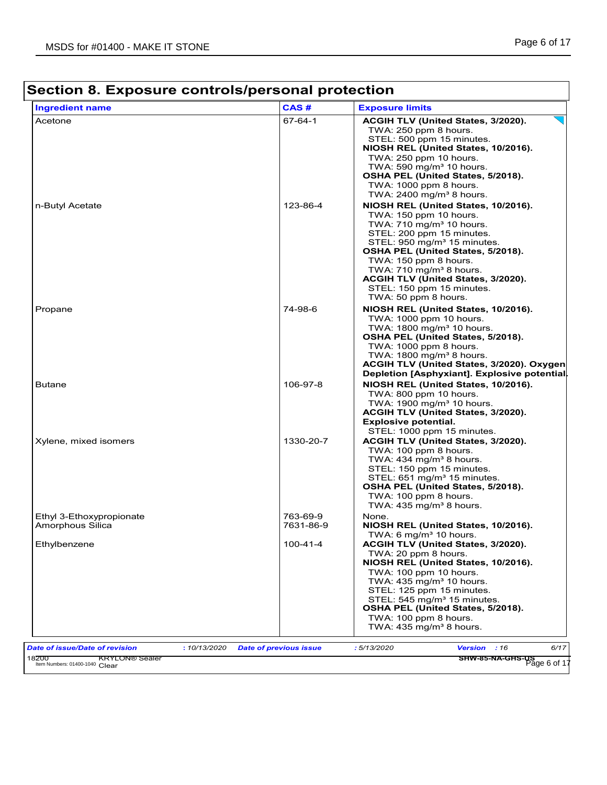| 67-64-1               | ACGIH TLV (United States, 3/2020).<br>TWA: 250 ppm 8 hours.                                                                                                                                                                                                                                                                                                                                                                                                       |
|-----------------------|-------------------------------------------------------------------------------------------------------------------------------------------------------------------------------------------------------------------------------------------------------------------------------------------------------------------------------------------------------------------------------------------------------------------------------------------------------------------|
|                       |                                                                                                                                                                                                                                                                                                                                                                                                                                                                   |
| 123-86-4              | STEL: 500 ppm 15 minutes.<br>NIOSH REL (United States, 10/2016).<br>TWA: 250 ppm 10 hours.<br>TWA: 590 mg/m <sup>3</sup> 10 hours.<br>OSHA PEL (United States, 5/2018).<br>TWA: 1000 ppm 8 hours.<br>TWA: $2400$ mg/m <sup>3</sup> 8 hours.<br>NIOSH REL (United States, 10/2016).<br>TWA: 150 ppm 10 hours.<br>TWA: 710 mg/m <sup>3</sup> 10 hours.<br>STEL: 200 ppm 15 minutes.<br>STEL: 950 mg/m <sup>3</sup> 15 minutes.<br>OSHA PEL (United States, 5/2018). |
|                       | TWA: 150 ppm 8 hours.<br>TWA: 710 mg/m <sup>3</sup> 8 hours.<br>ACGIH TLV (United States, 3/2020).<br>STEL: 150 ppm 15 minutes.<br>TWA: 50 ppm 8 hours.                                                                                                                                                                                                                                                                                                           |
| 74-98-6               | NIOSH REL (United States, 10/2016).<br>TWA: 1000 ppm 10 hours.<br>TWA: 1800 mg/m <sup>3</sup> 10 hours.<br>OSHA PEL (United States, 5/2018).<br>TWA: 1000 ppm 8 hours.<br>TWA: $1800 \text{ mg/m}^3$ 8 hours<br>ACGIH TLV (United States, 3/2020). Oxygen<br>Depletion [Asphyxiant]. Explosive potential.                                                                                                                                                         |
| 106-97-8              | NIOSH REL (United States, 10/2016).<br>TWA: 800 ppm 10 hours.<br>TWA: 1900 mg/m <sup>3</sup> 10 hours.<br>ACGIH TLV (United States, 3/2020).<br><b>Explosive potential.</b><br>STEL: 1000 ppm 15 minutes.                                                                                                                                                                                                                                                         |
| 1330-20-7             | ACGIH TLV (United States, 3/2020).<br>TWA: 100 ppm 8 hours.<br>TWA: 434 mg/m <sup>3</sup> 8 hours.<br>STEL: 150 ppm 15 minutes.<br>STEL: 651 mg/m <sup>3</sup> 15 minutes.<br>OSHA PEL (United States, 5/2018).<br>TWA: 100 ppm 8 hours.<br>TWA: $435 \text{ mg/m}^3$ 8 hours.                                                                                                                                                                                    |
| 763-69-9<br>7631-86-9 | None.<br>NIOSH REL (United States, 10/2016).<br>TWA: 6 mg/m <sup>3</sup> 10 hours.                                                                                                                                                                                                                                                                                                                                                                                |
| $100 - 41 - 4$        | ACGIH TLV (United States, 3/2020).<br>TWA: 20 ppm 8 hours.<br>NIOSH REL (United States, 10/2016).<br>TWA: 100 ppm 10 hours.<br>TWA: $435 \text{ mg/m}^3$ 10 hours.<br>STEL: 125 ppm 15 minutes.<br>STEL: 545 mg/m <sup>3</sup> 15 minutes.<br>OSHA PEL (United States, 5/2018).<br>TWA: 100 ppm 8 hours.<br>TWA: $435 \text{ mg/m}^3$ 8 hours.                                                                                                                    |
|                       | : 10/13/2020<br><b>Date of previous issue</b>                                                                                                                                                                                                                                                                                                                                                                                                                     |

**SHW-85-NA-GHS-US**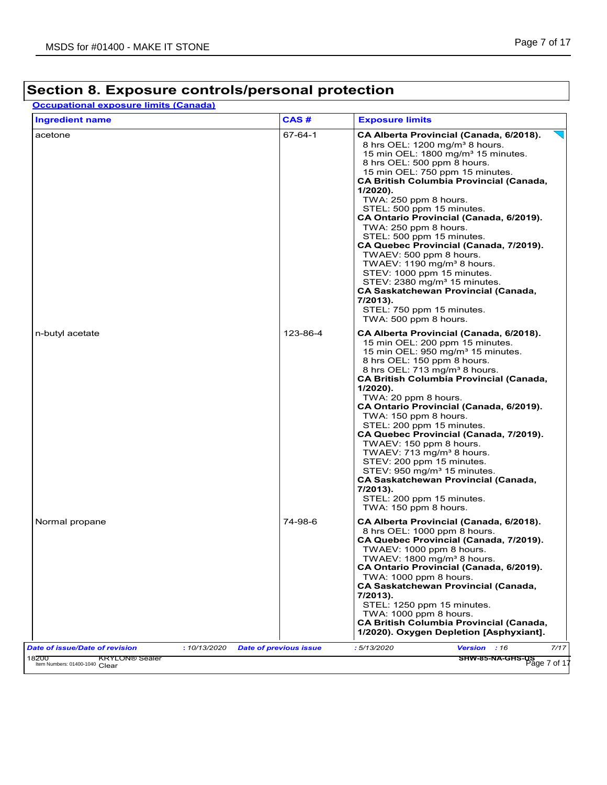**Occupational exposure limits (Canada)**

| <b>Ingredient name</b>                         | CAS#                          | <b>Exposure limits</b>                                                                                                                                                                                                                                                                                                                                                                                                                                                                                                                                                                                                                                                                                                                  |
|------------------------------------------------|-------------------------------|-----------------------------------------------------------------------------------------------------------------------------------------------------------------------------------------------------------------------------------------------------------------------------------------------------------------------------------------------------------------------------------------------------------------------------------------------------------------------------------------------------------------------------------------------------------------------------------------------------------------------------------------------------------------------------------------------------------------------------------------|
| acetone                                        | 67-64-1                       | CA Alberta Provincial (Canada, 6/2018).<br>8 hrs OEL: 1200 mg/m <sup>3</sup> 8 hours.<br>15 min OEL: 1800 mg/m <sup>3</sup> 15 minutes.<br>8 hrs OEL: 500 ppm 8 hours.<br>15 min OEL: 750 ppm 15 minutes.<br><b>CA British Columbia Provincial (Canada,</b><br>1/2020).<br>TWA: 250 ppm 8 hours.<br>STEL: 500 ppm 15 minutes.<br>CA Ontario Provincial (Canada, 6/2019).<br>TWA: 250 ppm 8 hours.<br>STEL: 500 ppm 15 minutes.<br>CA Quebec Provincial (Canada, 7/2019).<br>TWAEV: 500 ppm 8 hours.<br>TWAEV: 1190 mg/m <sup>3</sup> 8 hours.<br>STEV: 1000 ppm 15 minutes.<br>STEV: 2380 mg/m <sup>3</sup> 15 minutes.<br><b>CA Saskatchewan Provincial (Canada,</b><br>7/2013).<br>STEL: 750 ppm 15 minutes.<br>TWA: 500 ppm 8 hours. |
| n-butyl acetate                                | 123-86-4                      | CA Alberta Provincial (Canada, 6/2018).<br>15 min OEL: 200 ppm 15 minutes.<br>15 min OEL: 950 mg/m <sup>3</sup> 15 minutes.<br>8 hrs OEL: 150 ppm 8 hours.<br>8 hrs OEL: 713 mg/m <sup>3</sup> 8 hours.<br><b>CA British Columbia Provincial (Canada,</b><br>$1/2020$ ).<br>TWA: 20 ppm 8 hours.<br>CA Ontario Provincial (Canada, 6/2019).<br>TWA: 150 ppm 8 hours.<br>STEL: 200 ppm 15 minutes.<br>CA Quebec Provincial (Canada, 7/2019).<br>TWAEV: 150 ppm 8 hours.<br>TWAEV: 713 mg/m <sup>3</sup> 8 hours.<br>STEV: 200 ppm 15 minutes.<br>STEV: 950 mg/m <sup>3</sup> 15 minutes.<br><b>CA Saskatchewan Provincial (Canada,</b><br>7/2013).<br>STEL: 200 ppm 15 minutes.<br>TWA: 150 ppm 8 hours.                                 |
| Normal propane                                 | 74-98-6                       | CA Alberta Provincial (Canada, 6/2018).<br>8 hrs OEL: 1000 ppm 8 hours.<br>CA Quebec Provincial (Canada, 7/2019).<br>TWAEV: 1000 ppm 8 hours.<br>TWAEV: 1800 mg/m <sup>3</sup> 8 hours.<br>CA Ontario Provincial (Canada, 6/2019).<br>TWA: 1000 ppm 8 hours.<br><b>CA Saskatchewan Provincial (Canada,</b><br>7/2013).<br>STEL: 1250 ppm 15 minutes.<br>TWA: 1000 ppm 8 hours.<br><b>CA British Columbia Provincial (Canada,</b><br>1/2020). Oxygen Depletion [Asphyxiant].                                                                                                                                                                                                                                                             |
| Date of issue/Date of revision<br>: 10/13/2020 | <b>Date of previous issue</b> | 7/17<br>: 5/13/2020<br>Version : 16                                                                                                                                                                                                                                                                                                                                                                                                                                                                                                                                                                                                                                                                                                     |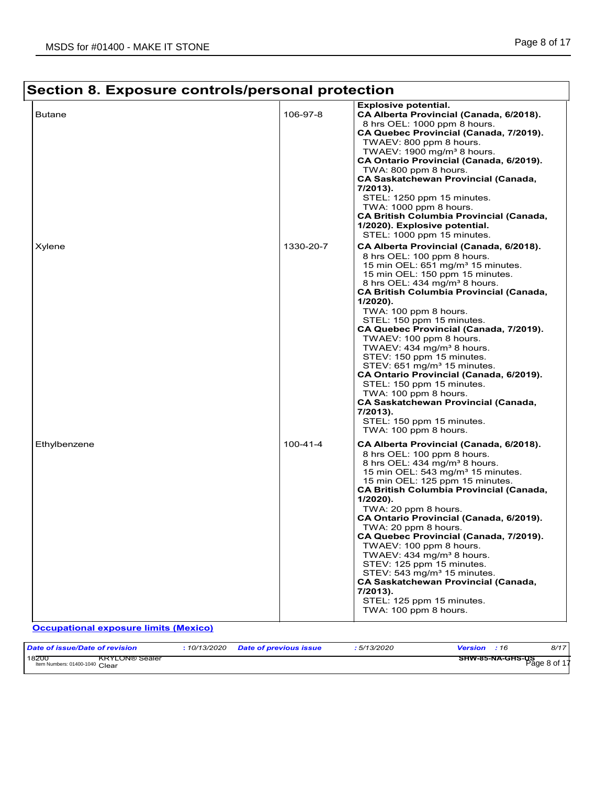#### **Section 8. Exposure controls/personal protection Explosive potential.** Butane 106-97-8 **CA Alberta Provincial (Canada, 6/2018).** Canada, 6/2018). 8 hrs OEL: 1000 ppm 8 hours. **CA Quebec Provincial (Canada, 7/2019).** TWAEV: 800 ppm 8 hours. TWAEV:  $1900$  mg/m<sup>3</sup> 8 hours. **CA Ontario Provincial (Canada, 6/2019).** TWA: 800 ppm 8 hours. **CA Saskatchewan Provincial (Canada, 7/2013).** STEL: 1250 ppm 15 minutes. TWA: 1000 ppm 8 hours. **CA British Columbia Provincial (Canada, 1/2020). Explosive potential.** STEL: 1000 ppm 15 minutes. Xylene 1330-20-7 **CA Alberta Provincial (Canada, 6/2018).** 8 hrs OEL: 100 ppm 8 hours. 15 min OEL: 651 mg/m<sup>3</sup> 15 minutes. 15 min OEL: 150 ppm 15 minutes. 8 hrs OEL: 434 mg/m<sup>3</sup> 8 hours. **CA British Columbia Provincial (Canada, 1/2020).** TWA: 100 ppm 8 hours. STEL: 150 ppm 15 minutes. **CA Quebec Provincial (Canada, 7/2019).** TWAEV: 100 ppm 8 hours. TWAEV:  $434 \text{ mg/m}^3$  8 hours. STEV: 150 ppm 15 minutes. STEV: 651 mg/m<sup>3</sup> 15 minutes. **CA Ontario Provincial (Canada, 6/2019).** STEL: 150 ppm 15 minutes. TWA: 100 ppm 8 hours. **CA Saskatchewan Provincial (Canada, 7/2013).** STEL: 150 ppm 15 minutes. TWA: 100 ppm 8 hours. Ethylbenzene 100-41-4 **CA Alberta Provincial (Canada, 6/2018).** 8 hrs OEL: 100 ppm 8 hours. 8 hrs OEL:  $434 \text{ mg/m}^3$  8 hours. 15 min OEL:  $543$  mg/m $3$  15 minutes. 15 min OEL: 125 ppm 15 minutes. **CA British Columbia Provincial (Canada, 1/2020).** TWA: 20 ppm 8 hours. **CA Ontario Provincial (Canada, 6/2019).** TWA: 20 ppm 8 hours. **CA Quebec Provincial (Canada, 7/2019).** TWAEV: 100 ppm 8 hours. TWAEV: 434 mg/m<sup>3</sup> 8 hours. STEV: 125 ppm 15 minutes. STEV: 543 mg/m<sup>3</sup> 15 minutes. **CA Saskatchewan Provincial (Canada, 7/2013).** STEL: 125 ppm 15 minutes. TWA: 100 ppm 8 hours. **Occupational exposure limits (Mexico)**

| Date of issue/Date of revision                                   | 10/13/2020 | <b>Date of previous issue</b> | 5/13/2020 | Version | :16              | 8/17                     |
|------------------------------------------------------------------|------------|-------------------------------|-----------|---------|------------------|--------------------------|
| 18200<br><b>KRYLON®</b> Sealer<br>Item Numbers: 01400-1040 Clear |            |                               |           |         | SHW-85-NA-GHS-US | Page 8 of 1 <sup>-</sup> |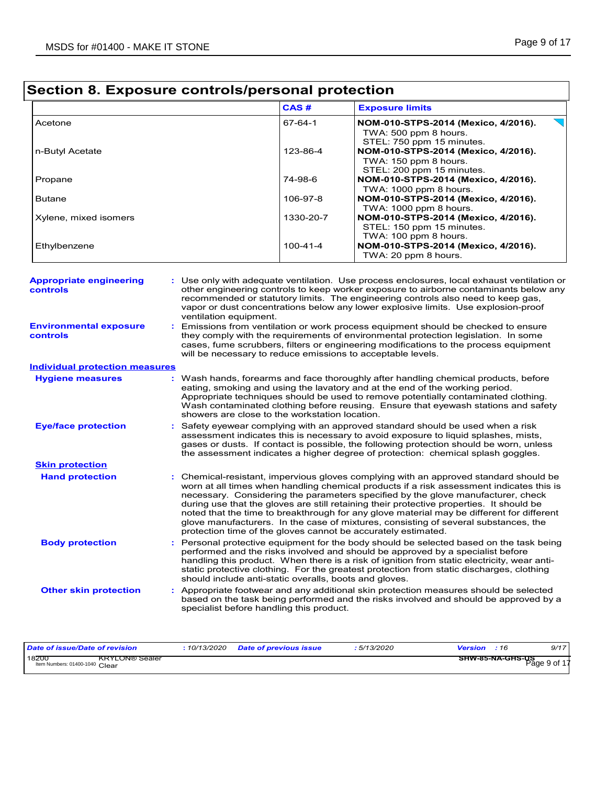|                       | CAS#           | <b>Exposure limits</b>                                                                    |
|-----------------------|----------------|-------------------------------------------------------------------------------------------|
| Acetone               | 67-64-1        | NOM-010-STPS-2014 (Mexico, 4/2016).<br>TWA: 500 ppm 8 hours.<br>STEL: 750 ppm 15 minutes. |
| n-Butyl Acetate       | 123-86-4       | NOM-010-STPS-2014 (Mexico, 4/2016).<br>TWA: 150 ppm 8 hours.<br>STEL: 200 ppm 15 minutes. |
| Propane               | 74-98-6        | NOM-010-STPS-2014 (Mexico, 4/2016).<br>TWA: 1000 ppm 8 hours.                             |
| <b>Butane</b>         | 106-97-8       | NOM-010-STPS-2014 (Mexico, 4/2016).<br>TWA: 1000 ppm 8 hours.                             |
| Xylene, mixed isomers | 1330-20-7      | NOM-010-STPS-2014 (Mexico, 4/2016).<br>STEL: 150 ppm 15 minutes.<br>TWA: 100 ppm 8 hours. |
| Ethylbenzene          | $100 - 41 - 4$ | NOM-010-STPS-2014 (Mexico, 4/2016).<br>TWA: 20 ppm 8 hours.                               |

| <b>Appropriate engineering</b><br><b>controls</b> | : Use only with adequate ventilation. Use process enclosures, local exhaust ventilation or<br>other engineering controls to keep worker exposure to airborne contaminants below any<br>recommended or statutory limits. The engineering controls also need to keep gas,<br>vapor or dust concentrations below any lower explosive limits. Use explosion-proof<br>ventilation equipment.                                                                                                                                                                                                                                |
|---------------------------------------------------|------------------------------------------------------------------------------------------------------------------------------------------------------------------------------------------------------------------------------------------------------------------------------------------------------------------------------------------------------------------------------------------------------------------------------------------------------------------------------------------------------------------------------------------------------------------------------------------------------------------------|
| <b>Environmental exposure</b><br><b>controls</b>  | Emissions from ventilation or work process equipment should be checked to ensure<br>they comply with the requirements of environmental protection legislation. In some<br>cases, fume scrubbers, filters or engineering modifications to the process equipment<br>will be necessary to reduce emissions to acceptable levels.                                                                                                                                                                                                                                                                                          |
| <b>Individual protection measures</b>             |                                                                                                                                                                                                                                                                                                                                                                                                                                                                                                                                                                                                                        |
| <b>Hygiene measures</b>                           | Wash hands, forearms and face thoroughly after handling chemical products, before<br>eating, smoking and using the lavatory and at the end of the working period.<br>Appropriate techniques should be used to remove potentially contaminated clothing.<br>Wash contaminated clothing before reusing. Ensure that eyewash stations and safety<br>showers are close to the workstation location.                                                                                                                                                                                                                        |
| <b>Eye/face protection</b>                        | Safety eyewear complying with an approved standard should be used when a risk<br>assessment indicates this is necessary to avoid exposure to liquid splashes, mists,<br>gases or dusts. If contact is possible, the following protection should be worn, unless<br>the assessment indicates a higher degree of protection: chemical splash goggles.                                                                                                                                                                                                                                                                    |
| <b>Skin protection</b>                            |                                                                                                                                                                                                                                                                                                                                                                                                                                                                                                                                                                                                                        |
| <b>Hand protection</b>                            | : Chemical-resistant, impervious gloves complying with an approved standard should be<br>worn at all times when handling chemical products if a risk assessment indicates this is<br>necessary. Considering the parameters specified by the glove manufacturer, check<br>during use that the gloves are still retaining their protective properties. It should be<br>noted that the time to breakthrough for any glove material may be different for different<br>glove manufacturers. In the case of mixtures, consisting of several substances, the<br>protection time of the gloves cannot be accurately estimated. |
| <b>Body protection</b>                            | Personal protective equipment for the body should be selected based on the task being<br>performed and the risks involved and should be approved by a specialist before<br>handling this product. When there is a risk of ignition from static electricity, wear anti-<br>static protective clothing. For the greatest protection from static discharges, clothing<br>should include anti-static overalls, boots and gloves.                                                                                                                                                                                           |
| <b>Other skin protection</b>                      | : Appropriate footwear and any additional skin protection measures should be selected<br>based on the task being performed and the risks involved and should be approved by a<br>specialist before handling this product.                                                                                                                                                                                                                                                                                                                                                                                              |

| Date of issue/Date of revision                                   | 10/13/2020 | <b>Date of previous issue</b> | 5/13/2020 | Version | 9/17<br>: 16                             |
|------------------------------------------------------------------|------------|-------------------------------|-----------|---------|------------------------------------------|
| 18200<br><b>KRYLON® Sealer</b><br>Item Numbers: 01400-1040 Clear |            |                               |           |         | <b>SHW-85-NA-GHS-US</b><br>Page 9 of $1$ |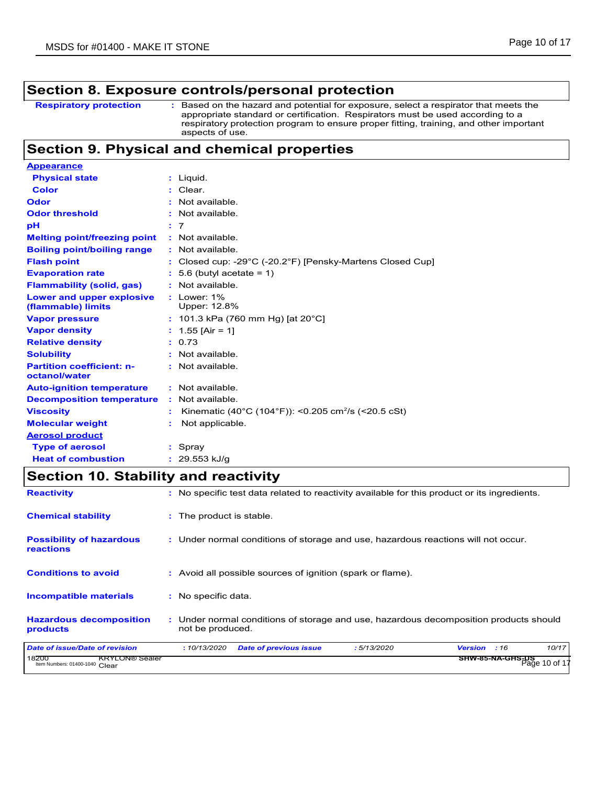: Based on the hazard and potential for exposure, select a respirator that meets the appropriate standard or certification. Respirators must be used according to a respiratory protection program to ensure proper fitting, training, and other important aspects of use. **Respiratory protection :**

### **Section 9. Physical and chemical properties**

| <b>Appearance</b>                                 |                                                                                 |
|---------------------------------------------------|---------------------------------------------------------------------------------|
| <b>Physical state</b>                             | : Liquid.                                                                       |
| <b>Color</b>                                      | : Clear.                                                                        |
| Odor                                              | : Not available.                                                                |
| <b>Odor threshold</b>                             | : Not available.                                                                |
| рH                                                | : 7                                                                             |
| <b>Melting point/freezing point</b>               | : Not available.                                                                |
| <b>Boiling point/boiling range</b>                | : Not available.                                                                |
| <b>Flash point</b>                                | : Closed cup: -29 $^{\circ}$ C (-20.2 $^{\circ}$ F) [Pensky-Martens Closed Cup] |
| <b>Evaporation rate</b>                           | $: 5.6$ (butyl acetate = 1)                                                     |
| <b>Flammability (solid, gas)</b>                  | : Not available.                                                                |
| Lower and upper explosive<br>(flammable) limits   | $:$ Lower: $1\%$<br>Upper: 12.8%                                                |
| <b>Vapor pressure</b>                             | : 101.3 kPa (760 mm Hg) [at 20 $^{\circ}$ C]                                    |
| <b>Vapor density</b>                              | : $1.55$ [Air = 1]                                                              |
| <b>Relative density</b>                           | : 0.73                                                                          |
| <b>Solubility</b>                                 | : Not available.                                                                |
| <b>Partition coefficient: n-</b><br>octanol/water | : Not available.                                                                |
| <b>Auto-ignition temperature</b>                  | : Not available.                                                                |
| <b>Decomposition temperature</b>                  | : Not available.                                                                |
| <b>Viscosity</b>                                  | Kinematic (40°C (104°F)): <0.205 cm <sup>2</sup> /s (<20.5 cSt)                 |
| <b>Molecular weight</b>                           | Not applicable.                                                                 |
| <b>Aerosol product</b>                            |                                                                                 |
| <b>Type of aerosol</b>                            | $:$ Spray                                                                       |
| <b>Heat of combustion</b>                         | $: 29.553$ kJ/g                                                                 |

### **Section 10. Stability and reactivity**

| <b>Reactivity</b>                                                | : No specific test data related to reactivity available for this product or its ingredients.              |  |  |  |  |  |  |  |  |
|------------------------------------------------------------------|-----------------------------------------------------------------------------------------------------------|--|--|--|--|--|--|--|--|
| <b>Chemical stability</b>                                        | : The product is stable.                                                                                  |  |  |  |  |  |  |  |  |
| <b>Possibility of hazardous</b><br><b>reactions</b>              | : Under normal conditions of storage and use, hazardous reactions will not occur.                         |  |  |  |  |  |  |  |  |
| <b>Conditions to avoid</b>                                       | : Avoid all possible sources of ignition (spark or flame).                                                |  |  |  |  |  |  |  |  |
| <b>Incompatible materials</b>                                    | : No specific data.                                                                                       |  |  |  |  |  |  |  |  |
| <b>Hazardous decomposition</b><br>products                       | : Under normal conditions of storage and use, hazardous decomposition products should<br>not be produced. |  |  |  |  |  |  |  |  |
| <b>Date of issue/Date of revision</b>                            | 10/17<br>:10/13/2020<br><b>Date of previous issue</b><br>: 5/13/2020<br><b>Version</b><br>:16             |  |  |  |  |  |  |  |  |
| 18200<br><b>KRYLON® Sealer</b><br>Item Numbers: 01400-1040 Clear | <b>SHW-85-NA-GHS-US</b><br>Page 10 of 1                                                                   |  |  |  |  |  |  |  |  |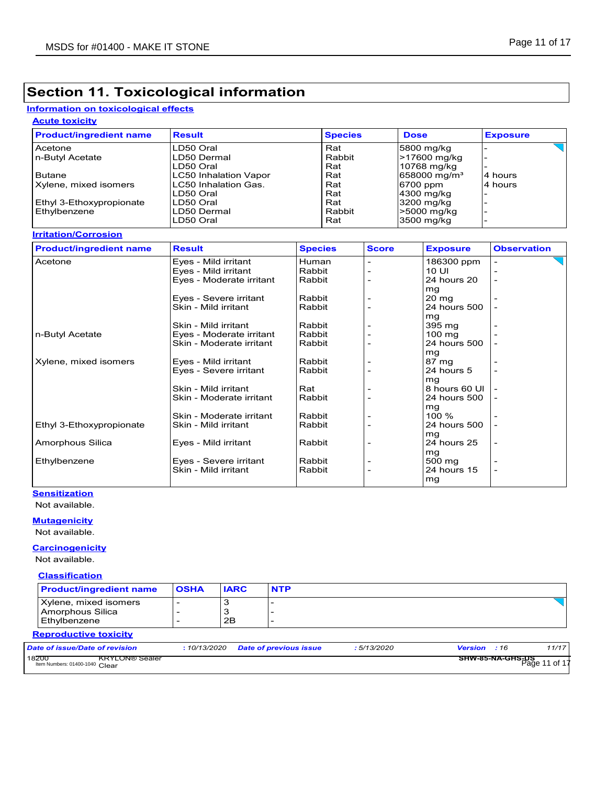### **Section 11. Toxicological information**

#### **Information on toxicological effects**

### **Acute toxicity**

| <b>Product/ingredient name</b> | <b>Result</b>                | <b>Species</b> | <b>Dose</b>                 | <b>Exposure</b> |
|--------------------------------|------------------------------|----------------|-----------------------------|-----------------|
| <b>Acetone</b>                 | LD50 Oral                    | Rat            | 5800 mg/kg                  |                 |
| In-Butyl Acetate               | LD50 Dermal                  | Rabbit         | -17600 mg/kg                |                 |
|                                | LD50 Oral                    | Rat            | 10768 mg/kg                 |                 |
| Butane                         | <b>LC50 Inhalation Vapor</b> | Rat            | $1658000$ mg/m <sup>3</sup> | 4 hours         |
| Xylene, mixed isomers          | LC50 Inhalation Gas.         | Rat            | 6700 ppm                    | 4 hours         |
|                                | LD50 Oral                    | Rat            | 4300 mg/kg                  |                 |
| Ethyl 3-Ethoxypropionate       | LD50 Oral                    | Rat            | 3200 mg/kg                  |                 |
| Ethylbenzene                   | LD50 Dermal                  | Rabbit         | -5000 mg/kg                 |                 |
|                                | LD50 Oral                    | Rat            | 3500 mg/kg                  |                 |

#### **Irritation/Corrosion**

| <b>Product/ingredient name</b> | <b>Result</b>            | <b>Species</b> | <b>Score</b> | <b>Exposure</b>  | <b>Observation</b>       |
|--------------------------------|--------------------------|----------------|--------------|------------------|--------------------------|
| Acetone                        | Eyes - Mild irritant     | Human          |              | 186300 ppm       | $\overline{\phantom{a}}$ |
|                                | Eyes - Mild irritant     | Rabbit         |              | 10 UI            |                          |
|                                | Eyes - Moderate irritant | Rabbit         |              | 24 hours 20      | $\overline{\phantom{0}}$ |
|                                |                          |                |              | mq               |                          |
|                                | Eyes - Severe irritant   | Rabbit         |              | $20 \text{ mg}$  |                          |
|                                | Skin - Mild irritant     | Rabbit         |              | 24 hours 500     |                          |
|                                |                          |                |              | mg               |                          |
|                                | Skin - Mild irritant     | Rabbit         |              | 395 mg           | $\overline{\phantom{0}}$ |
| n-Butyl Acetate                | Eyes - Moderate irritant | Rabbit         |              | $100 \text{ ma}$ |                          |
|                                | Skin - Moderate irritant | Rabbit         |              | 24 hours 500     |                          |
|                                |                          |                |              | mg               |                          |
| Xylene, mixed isomers          | Eyes - Mild irritant     | Rabbit         |              | 87 mg            |                          |
|                                | Eyes - Severe irritant   | Rabbit         |              | 24 hours 5       | $\overline{\phantom{0}}$ |
|                                |                          |                |              | mg               |                          |
|                                | Skin - Mild irritant     | Rat            |              | 8 hours 60 UI    |                          |
|                                | Skin - Moderate irritant | Rabbit         |              | 24 hours 500     |                          |
|                                |                          |                |              | mg               |                          |
|                                | Skin - Moderate irritant | Rabbit         |              | $100 \%$         |                          |
| Ethyl 3-Ethoxypropionate       | Skin - Mild irritant     | Rabbit         |              | 24 hours 500     |                          |
|                                |                          |                |              | mg               |                          |
| Amorphous Silica               | Eyes - Mild irritant     | Rabbit         |              | 24 hours 25      | $\overline{\phantom{a}}$ |
|                                |                          |                |              | mg               |                          |
| Ethylbenzene                   | Eyes - Severe irritant   | Rabbit         |              | 500 mg           |                          |
|                                | Skin - Mild irritant     | Rabbit         |              | 24 hours 15      |                          |
|                                |                          |                |              | mg               |                          |

### **Sensitization**

Not available.

### **Mutagenicity**

Not available.

### **Carcinogenicity**

Not available.

#### **Classification**

| <b>Product/ingredient name</b>                                   | <b>OSHA</b> | <b>IARC</b> | <b>NTP</b>                    |            |                     |                                          |
|------------------------------------------------------------------|-------------|-------------|-------------------------------|------------|---------------------|------------------------------------------|
| Xylene, mixed isomers<br>Amorphous Silica<br>Ethylbenzene        |             | 2B          |                               |            |                     |                                          |
| <b>Reproductive toxicity</b>                                     |             |             |                               |            |                     |                                          |
| Date of issue/Date of revision                                   | :10/13/2020 |             | <b>Date of previous issue</b> | :5/13/2020 | <b>Version</b> : 16 | 11/17                                    |
| 18200<br><b>KRYLON® Sealer</b><br>Item Numbers: 01400-1040 Clear |             |             |                               |            |                     | <b>SHW-85-NA-GHS-US</b><br>Page 11 of 17 |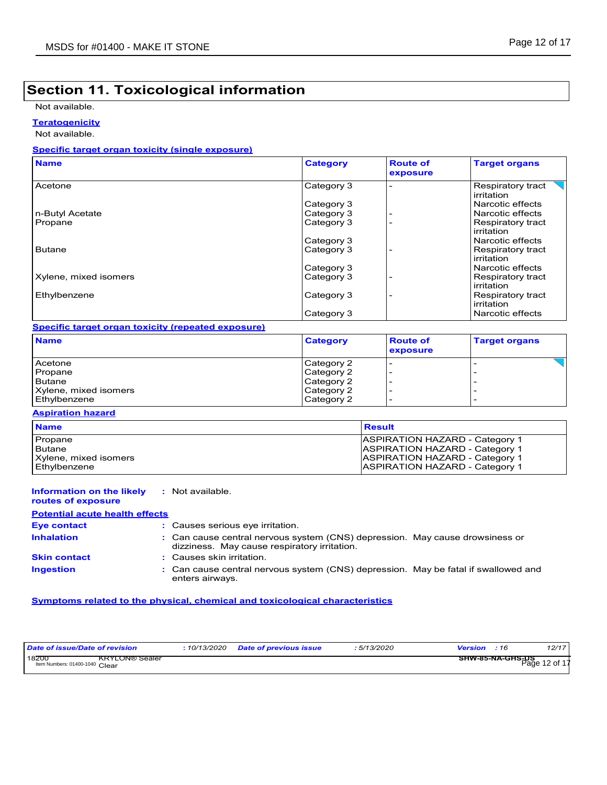### **Section 11. Toxicological information**

Not available.

**Teratogenicity**

Not available.

#### **Specific target organ toxicity (single exposure)**

| <b>Name</b>           | <b>Category</b> | <b>Route of</b><br>exposure | <b>Target organs</b>            |
|-----------------------|-----------------|-----------------------------|---------------------------------|
| Acetone               | Category 3      |                             | Respiratory tract<br>irritation |
|                       | Category 3      |                             | Narcotic effects                |
| n-Butyl Acetate       | Category 3      |                             | Narcotic effects                |
| Propane               | Category 3      |                             | Respiratory tract<br>irritation |
|                       | Category 3      |                             | Narcotic effects                |
| <b>Butane</b>         | Category 3      |                             | Respiratory tract<br>irritation |
|                       | Category 3      |                             | Narcotic effects                |
| Xylene, mixed isomers | Category 3      |                             | Respiratory tract<br>irritation |
| Ethylbenzene          | Category 3      |                             | Respiratory tract<br>irritation |
|                       | Category 3      |                             | Narcotic effects                |

#### **Specific target organ toxicity (repeated exposure)**

| <b>Name</b>           | <b>Category</b> | <b>Route of</b><br>exposure | <b>Target organs</b> |
|-----------------------|-----------------|-----------------------------|----------------------|
| Acetone               | Category 2      |                             |                      |
| Propane               | Category 2      |                             |                      |
| <b>Butane</b>         | Category 2      |                             |                      |
| Xylene, mixed isomers | Category 2      |                             |                      |
| Ethylbenzene          | Category 2      |                             |                      |

#### **Aspiration hazard**

| <b>Name</b>           | Result                                |
|-----------------------|---------------------------------------|
| Propane               | <b>ASPIRATION HAZARD - Category 1</b> |
| Butane                | <b>ASPIRATION HAZARD - Category 1</b> |
| Xylene, mixed isomers | <b>ASPIRATION HAZARD - Category 1</b> |
| Ethylbenzene          | <b>ASPIRATION HAZARD - Category 1</b> |

#### **Information on the likely :** Not available.

**routes of exposure**

### **Potential acute health effects**

| <b>Eve contact</b>  | : Causes serious eve irritation.                                                                                             |  |
|---------------------|------------------------------------------------------------------------------------------------------------------------------|--|
| <b>Inhalation</b>   | : Can cause central nervous system (CNS) depression. May cause drowsiness or<br>dizziness. May cause respiratory irritation. |  |
| <b>Skin contact</b> | : Causes skin irritation.                                                                                                    |  |
| <b>Ingestion</b>    | : Can cause central nervous system (CNS) depression. May be fatal if swallowed and<br>enters airways.                        |  |

#### **Symptoms related to the physical, chemical and toxicological characteristics**

| Date of issue/Date of revision                                   | : 10/13/2020 | <b>Date of previous issue</b> | 5/13/2020 | Version | .16 | 12/17                                    |
|------------------------------------------------------------------|--------------|-------------------------------|-----------|---------|-----|------------------------------------------|
| 18200<br><b>KRYLON® Sealer</b><br>Item Numbers: 01400-1040 Clear |              |                               |           |         |     | <b>SHW-85-NA-GHS-US</b><br>Page 12 of 17 |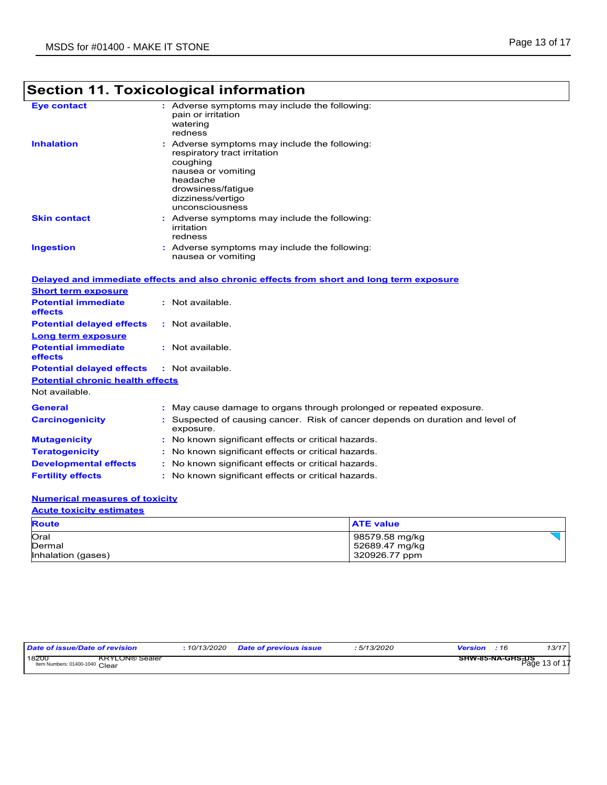|                                                                     | <b>Section 11. Toxicological information</b>                                                                                                                                            |
|---------------------------------------------------------------------|-----------------------------------------------------------------------------------------------------------------------------------------------------------------------------------------|
| <b>Eye contact</b>                                                  | : Adverse symptoms may include the following:<br>pain or irritation<br>watering<br>redness                                                                                              |
| <b>Inhalation</b>                                                   | Adverse symptoms may include the following:<br>respiratory tract irritation<br>coughing<br>nausea or vomiting<br>headache<br>drowsiness/fatigue<br>dizziness/vertigo<br>unconsciousness |
| <b>Skin contact</b>                                                 | : Adverse symptoms may include the following:<br>irritation<br>redness                                                                                                                  |
| <b>Ingestion</b>                                                    | : Adverse symptoms may include the following:<br>nausea or vomiting                                                                                                                     |
|                                                                     | Delayed and immediate effects and also chronic effects from short and long term exposure                                                                                                |
| <b>Short term exposure</b><br><b>Potential immediate</b><br>effects | : Not available.                                                                                                                                                                        |
| <b>Potential delayed effects</b><br><b>Long term exposure</b>       | : Not available.                                                                                                                                                                        |
| <b>Potential immediate</b><br>effects                               | : Not available.                                                                                                                                                                        |
| <b>Potential delayed effects</b>                                    | : Not available.                                                                                                                                                                        |
| <b>Potential chronic health effects</b><br>Not available.           |                                                                                                                                                                                         |
| General                                                             | : May cause damage to organs through prolonged or repeated exposure.                                                                                                                    |
| <b>Carcinogenicity</b>                                              | : Suspected of causing cancer. Risk of cancer depends on duration and level of<br>exposure.                                                                                             |
| <b>Mutagenicity</b>                                                 | : No known significant effects or critical hazards.                                                                                                                                     |
| <b>Teratogenicity</b>                                               | : No known significant effects or critical hazards.                                                                                                                                     |
| <b>Developmental effects</b>                                        | : No known significant effects or critical hazards.                                                                                                                                     |
| <b>Fertility effects</b>                                            | : No known significant effects or critical hazards.                                                                                                                                     |
| <b>Contained and State</b>                                          |                                                                                                                                                                                         |

#### **Numerical measures of toxicity**

| <b>Acute toxicity estimates</b> |                  |  |  |  |
|---------------------------------|------------------|--|--|--|
| <b>Route</b>                    | <b>ATE value</b> |  |  |  |
| Oral                            | 98579.58 mg/kg   |  |  |  |
| Dermal                          | 52689.47 mg/kg   |  |  |  |
| Inhalation (gases)              | 320926.77 ppm    |  |  |  |

| Date of issue/Date of revision                                   | 10/13/2020 | <b>Date of previous issue</b> | 5/13/2020 | <b>Version</b> : 16               | 13/17 |
|------------------------------------------------------------------|------------|-------------------------------|-----------|-----------------------------------|-------|
| 18200<br><b>KRYLON® Sealer</b><br>Item Numbers: 01400-1040 Clear |            |                               |           | SHW-85-NA-GHS-DS<br>Page 13 of 17 |       |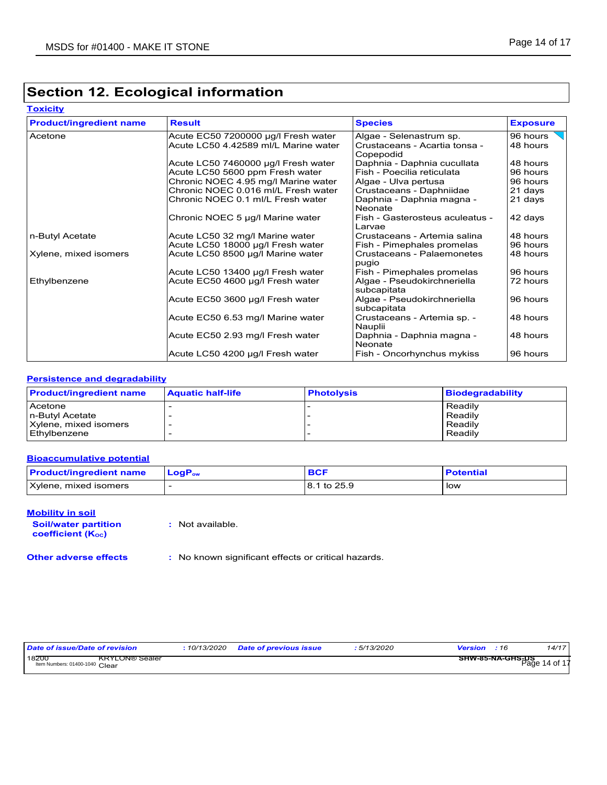### **Section 12. Ecological information**

#### **Toxicity**

| <b>Product/ingredient name</b> | <b>Result</b>                        | <b>Species</b>                             | <b>Exposure</b> |
|--------------------------------|--------------------------------------|--------------------------------------------|-----------------|
| Acetone                        | Acute EC50 7200000 µg/l Fresh water  | Algae - Selenastrum sp.                    | 96 hours        |
|                                | Acute LC50 4.42589 ml/L Marine water | Crustaceans - Acartia tonsa -<br>Copepodid | 48 hours        |
|                                | Acute LC50 7460000 µg/l Fresh water  | Daphnia - Daphnia cucullata                | 48 hours        |
|                                | Acute LC50 5600 ppm Fresh water      | Fish - Poecilia reticulata                 | 96 hours        |
|                                | Chronic NOEC 4.95 mg/l Marine water  | Algae - Ulva pertusa                       | 96 hours        |
|                                | Chronic NOEC 0.016 ml/L Fresh water  | Crustaceans - Daphniidae                   | 21 days         |
|                                | Chronic NOEC 0.1 ml/L Fresh water    | Daphnia - Daphnia magna -<br>Neonate       | 21 days         |
|                                | Chronic NOEC 5 µg/l Marine water     | Fish - Gasterosteus aculeatus -<br>Larvae  | 42 days         |
| n-Butyl Acetate                | Acute LC50 32 mg/l Marine water      | Crustaceans - Artemia salina               | 48 hours        |
|                                | Acute LC50 18000 µg/l Fresh water    | Fish - Pimephales promelas                 | 96 hours        |
| Xylene, mixed isomers          | Acute LC50 8500 µg/l Marine water    | Crustaceans - Palaemonetes<br>pugio        | 48 hours        |
|                                | Acute LC50 13400 µg/l Fresh water    | Fish - Pimephales promelas                 | 96 hours        |
| Ethylbenzene                   | Acute EC50 4600 µg/l Fresh water     | Algae - Pseudokirchneriella<br>subcapitata | 72 hours        |
|                                | Acute EC50 3600 µg/l Fresh water     | Algae - Pseudokirchneriella<br>subcapitata | 96 hours        |
|                                | Acute EC50 6.53 mg/l Marine water    | Crustaceans - Artemia sp. -<br>Nauplii     | 48 hours        |
|                                | Acute EC50 2.93 mg/l Fresh water     | Daphnia - Daphnia magna -<br>Neonate       | 48 hours        |
|                                | Acute LC50 4200 µg/l Fresh water     | Fish - Oncorhynchus mykiss                 | 96 hours        |

#### **Persistence and degradability**

| <b>Product/ingredient name</b> | <b>Aquatic half-life</b> | <b>Photolysis</b> | <b>Biodegradability</b> |
|--------------------------------|--------------------------|-------------------|-------------------------|
| Acetone                        |                          |                   | Readily                 |
| n-Butyl Acetate                |                          |                   | Readily                 |
| Xylene, mixed isomers          |                          |                   | Readily                 |
| Ethylbenzene                   |                          |                   | Readily                 |

### **Bioaccumulative potential**

| <b>Product/ingredient name</b> | $\mathsf{LogP}_\mathsf{ow}$ | <b>BCF</b>  | <b>Potential</b> |
|--------------------------------|-----------------------------|-------------|------------------|
| Xylene, mixed isomers          |                             | 8.1 to 25.9 | low              |

#### **Mobility in soil**

**Soil/water partition coefficient (KOC)**

**:** Not available.

**Other adverse effects :** No known significant effects or critical hazards.

| Date of issue/Date of revision                                   | 10/13/2020 Date of previous issue | 5/13/2020 | <b>Version</b> : 16                      | 14/17 |
|------------------------------------------------------------------|-----------------------------------|-----------|------------------------------------------|-------|
| 18200<br><b>KRYLON® Sealer</b><br>Item Numbers: 01400-1040 Clear |                                   |           | <b>SHW-85-NA-GHS-DS</b><br>Page 14 of 17 |       |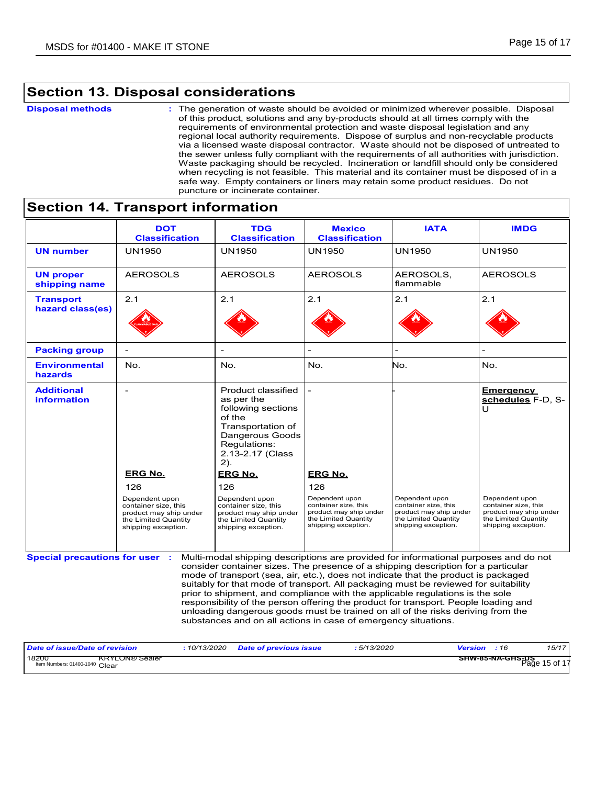### **Section 13. Disposal considerations**

#### **Disposal methods :**

The generation of waste should be avoided or minimized wherever possible. Disposal of this product, solutions and any by-products should at all times comply with the requirements of environmental protection and waste disposal legislation and any regional local authority requirements. Dispose of surplus and non-recyclable products via a licensed waste disposal contractor. Waste should not be disposed of untreated to the sewer unless fully compliant with the requirements of all authorities with jurisdiction. Waste packaging should be recycled. Incineration or landfill should only be considered when recycling is not feasible. This material and its container must be disposed of in a safe way. Empty containers or liners may retain some product residues. Do not puncture or incinerate container.

#### AEROSOLS 2.1 - AEROSOLS 2.1 - UN1950 UN1950 - **Emergency**  Product classified **schedules** F-D, S-U **DOT Classification IMDG UN number UN proper shipping name Transport hazard class(es) Packing group Additional information Environmental hazards Special precautions for user** No. No. **:** Multi-modal shipping descriptions are provided for informational purposes and do not **TDG Classification** UN1950 AEROSOLS 2.1 No. as per the following sections of the Transportation of Dangerous Goods Regulations: 2.13-2.17 (Class 2). **Mexico Classification** UN1950 AEROSOLS 2.1 No. consider container sizes. The presence of a shipping description for a particular mode of transport (sea, air, etc.), does not indicate that the product is packaged suitably for that mode of transport. All packaging must be reviewed for suitability prior to shipment, and compliance with the applicable regulations is the sole responsibility of the person offering the product for transport. People loading and unloading dangerous goods must be trained on all of the risks deriving from the substances and on all actions in case of emergency situations. **IATA** UN1950 AEROSOLS, flammable 2.1 No. - 126 **ERG No.** 126 126 **ERG No. ERG No.** Dependent upon container size, this product may ship under the Limited Quantity shipping exception. Dependent upon container size, this product may ship under the Limited Quantity shipping exception. Dependent upon container size, this product may ship under the Limited Quantity shipping exception. Dependent upon container size, this product may ship under the Limited Quantity shipping exception. Dependent upon container size, this product may ship under the Limited Quantity shipping exception.

### **Section 14. Transport information**

| Date of issue/Date of revision                                   | 10/13/2020 | <b>Date of previous issue</b> | 5/13/2020 | <b>Version</b> : 16                      | 15/17 |
|------------------------------------------------------------------|------------|-------------------------------|-----------|------------------------------------------|-------|
| 18200<br><b>KRYLON® Sealer</b><br>Item Numbers: 01400-1040 Clear |            |                               |           | <b>SHW-85-NA-GHS-DS</b><br>Page 15 of 17 |       |
|                                                                  |            |                               |           |                                          |       |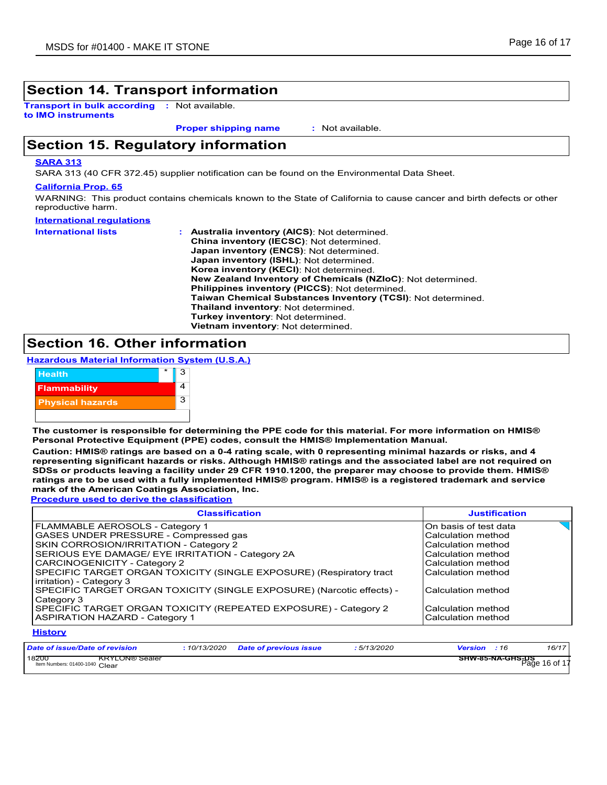### **Section 14. Transport information**

**Transport in bulk according :** Not available. **to IMO instruments**

**Proper shipping name :**

: Not available.

### **Section 15. Regulatory information**

#### **SARA 313**

SARA 313 (40 CFR 372.45) supplier notification can be found on the Environmental Data Sheet.

#### **California Prop. 65**

WARNING: This product contains chemicals known to the State of California to cause cancer and birth defects or other reproductive harm.

| International regulations  |                                                              |
|----------------------------|--------------------------------------------------------------|
| <b>International lists</b> | <b>Australia inventory (AICS): Not determined.</b>           |
|                            | <b>China inventory (IECSC): Not determined.</b>              |
|                            | Japan inventory (ENCS): Not determined.                      |
|                            | Japan inventory (ISHL): Not determined.                      |
|                            | Korea inventory (KECI): Not determined.                      |
|                            | New Zealand Inventory of Chemicals (NZIoC): Not determined.  |
|                            | <b>Philippines inventory (PICCS): Not determined.</b>        |
|                            | Taiwan Chemical Substances Inventory (TCSI): Not determined. |
|                            | Thailand inventory: Not determined.                          |
|                            | Turkey inventory: Not determined.                            |
|                            | Vietnam inventory: Not determined.                           |

### **Section 16. Other information**

**Hazardous Material Information System (U.S.A.)**



**The customer is responsible for determining the PPE code for this material. For more information on HMIS® Personal Protective Equipment (PPE) codes, consult the HMIS® Implementation Manual.**

**Caution: HMIS® ratings are based on a 0-4 rating scale, with 0 representing minimal hazards or risks, and 4 representing significant hazards or risks. Although HMIS® ratings and the associated label are not required on SDSs or products leaving a facility under 29 CFR 1910.1200, the preparer may choose to provide them. HMIS® ratings are to be used with a fully implemented HMIS® program. HMIS® is a registered trademark and service mark of the American Coatings Association, Inc.**

**Procedure used to derive the classification**

| <b>Classification</b>                                                                           | <b>Justification</b>  |
|-------------------------------------------------------------------------------------------------|-----------------------|
| FLAMMABLE AEROSOLS - Category 1                                                                 | On basis of test data |
| GASES UNDER PRESSURE - Compressed gas                                                           | Calculation method    |
| SKIN CORROSION/IRRITATION - Category 2                                                          | Calculation method    |
| SERIOUS EYE DAMAGE/ EYE IRRITATION - Category 2A                                                | Calculation method    |
| CARCINOGENICITY - Category 2                                                                    | Calculation method    |
| SPECIFIC TARGET ORGAN TOXICITY (SINGLE EXPOSURE) (Respiratory tract<br>irritation) - Category 3 | Calculation method    |
| SPECIFIC TARGET ORGAN TOXICITY (SINGLE EXPOSURE) (Narcotic effects) -<br>Category 3             | Calculation method    |
| SPECIFIC TARGET ORGAN TOXICITY (REPEATED EXPOSURE) - Category 2                                 | Calculation method    |
| <b>ASPIRATION HAZARD - Category 1</b>                                                           | Calculation method    |
| <b>History</b>                                                                                  |                       |

| Date of issue/Date of revision                                   | 10/13/2020 | <b>Date of previous issue</b> | 5/13/2020 | 16/17<br><b>Version</b><br>:16           |
|------------------------------------------------------------------|------------|-------------------------------|-----------|------------------------------------------|
| 18200<br><b>KRYLON® Sealer</b><br>Item Numbers: 01400-1040 Clear |            |                               |           | <b>SHW-85-NA-GHS-US</b><br>Page 16 of 17 |